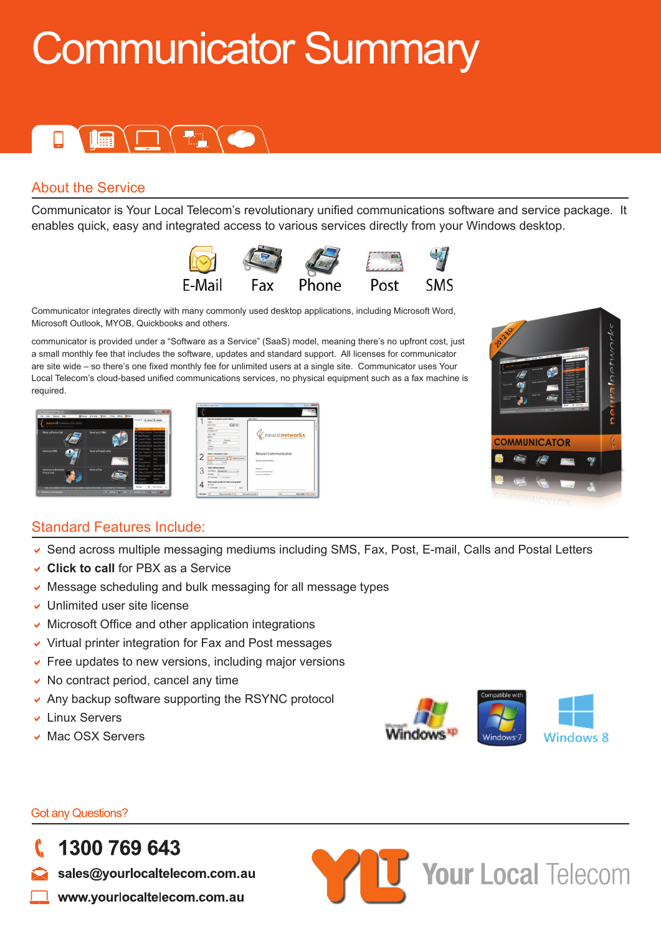# Communicator Summary



### About the Service

Communicator is Your Local Telecom's revolutionary unified communications software and service package. It enables quick, easy and integrated access to various services directly from your Windows desktop.



Communicator integrates directly with many commonly used desktop applications, including Microsoft Word, Microsoft Outlook, MYOB, Quickbooks and others.

communicator is provided under a "Software as a Service" (SaaS) model, meaning there's no upfront cost, just a small monthly fee that includes the software, updates and standard support. All licenses for communicator are site wide – so there's one fixed monthly fee for unlimited users at a single site. Communicator uses Your Local Telecom's cloud-based unified communications services, no physical equipment such as a fax machine is required.





### Standard Features Include:

- ↓ Send across multiple messaging mediums including SMS, Fax, Post, E-mail, Calls and Postal Letters
- **Click to call** for PBX as a Service
- $\vee$  Message scheduling and bulk messaging for all message types
- $\vee$  Unlimited user site license
- $\vee$  Microsoft Office and other application integrations
- $\vee$  Virtual printer integration for Fax and Post messages
- $\triangleright$  Free updates to new versions, including major versions
- $\vee$  No contract period, cancel any time
- $\sim$  Any backup software supporting the RSYNC protocol
- $\overline{v}$  Linux Servers
- **Mac OSX Servers**



**Your Local Telecom** 

**Got any Questions?** 

1300 769 643

sales@yourlocaltelecom.com.au

www.yourlocaltelecom.com.au